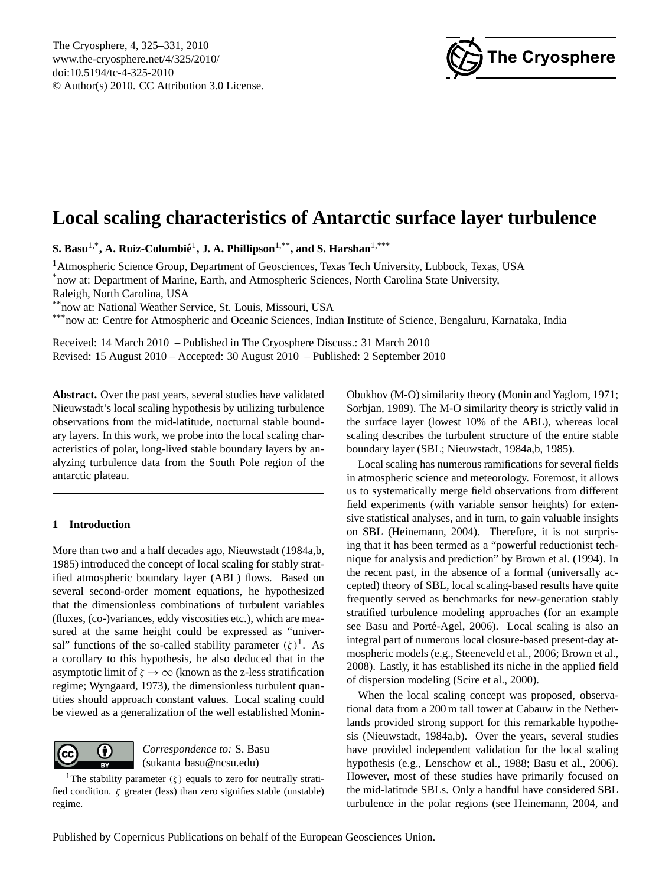

# <span id="page-0-1"></span>**Local scaling characteristics of Antarctic surface layer turbulence**

 $\mathbf{S. \: Basu}^{1, *}, \mathbf{A. \: Ruiz\text{-}Columbi\acute{e}}^1, \mathbf{J. \: A. \: Phillipson}^{1, **}, \:and \:S. \: Harshan^{1, **}$ 

<sup>1</sup>Atmospheric Science Group, Department of Geosciences, Texas Tech University, Lubbock, Texas, USA \*now at: Department of Marine, Earth, and Atmospheric Sciences, North Carolina State University, Raleigh, North Carolina, USA

\*now at: National Weather Service, St. Louis, Missouri, USA

\*\*\*now at: Centre for Atmospheric and Oceanic Sciences, Indian Institute of Science, Bengaluru, Karnataka, India

Received: 14 March 2010 – Published in The Cryosphere Discuss.: 31 March 2010 Revised: 15 August 2010 – Accepted: 30 August 2010 – Published: 2 September 2010

**Abstract.** Over the past years, several studies have validated Nieuwstadt's local scaling hypothesis by utilizing turbulence observations from the mid-latitude, nocturnal stable boundary layers. In this work, we probe into the local scaling characteristics of polar, long-lived stable boundary layers by analyzing turbulence data from the South Pole region of the antarctic plateau.

# **1 Introduction**

More than two and a half decades ago, [Nieuwstadt](#page-6-0) [\(1984a](#page-6-0)[,b,](#page-6-1) [1985\)](#page-6-2) introduced the concept of local scaling for stably stratified atmospheric boundary layer (ABL) flows. Based on several second-order moment equations, he hypothesized that the dimensionless combinations of turbulent variables (fluxes, (co-)variances, eddy viscosities etc.), which are measured at the same height could be expressed as "universal" functions of the so-called stability parameter  $(\zeta)^1$  $(\zeta)^1$ . As a corollary to this hypothesis, he also deduced that in the asymptotic limit of  $\zeta \to \infty$  (known as the z-less stratification regime; [Wyngaard,](#page-6-3) [1973\)](#page-6-3), the dimensionless turbulent quantities should approach constant values. Local scaling could be viewed as a generalization of the well established Monin-



*Correspondence to:* S. Basu (sukanta basu@ncsu.edu)

Obukhov (M-O) similarity theory [\(Monin and Yaglom,](#page-6-4) [1971;](#page-6-4) [Sorbjan,](#page-6-5) [1989\)](#page-6-5). The M-O similarity theory is strictly valid in the surface layer (lowest 10% of the ABL), whereas local scaling describes the turbulent structure of the entire stable boundary layer (SBL; [Nieuwstadt,](#page-6-0) [1984a](#page-6-0)[,b,](#page-6-1) [1985\)](#page-6-2).

Local scaling has numerous ramifications for several fields in atmospheric science and meteorology. Foremost, it allows us to systematically merge field observations from different field experiments (with variable sensor heights) for extensive statistical analyses, and in turn, to gain valuable insights on SBL [\(Heinemann,](#page-6-6) [2004\)](#page-6-6). Therefore, it is not surprising that it has been termed as a "powerful reductionist technique for analysis and prediction" by [Brown et al.](#page-5-0) [\(1994\)](#page-5-0). In the recent past, in the absence of a formal (universally accepted) theory of SBL, local scaling-based results have quite frequently served as benchmarks for new-generation stably stratified turbulence modeling approaches (for an example see Basu and Porté-Agel, [2006\)](#page-5-1). Local scaling is also an integral part of numerous local closure-based present-day atmospheric models (e.g., [Steeneveld et al.,](#page-6-7) [2006;](#page-6-7) [Brown et al.,](#page-6-8) [2008\)](#page-6-8). Lastly, it has established its niche in the applied field of dispersion modeling [\(Scire et al.,](#page-6-9) [2000\)](#page-6-9).

When the local scaling concept was proposed, observational data from a 200 m tall tower at Cabauw in the Netherlands provided strong support for this remarkable hypothesis [\(Nieuwstadt,](#page-6-0) [1984a,](#page-6-0)[b\)](#page-6-1). Over the years, several studies have provided independent validation for the local scaling hypothesis (e.g., [Lenschow et al.,](#page-6-10) [1988;](#page-6-10) [Basu et al.,](#page-5-2) [2006\)](#page-5-2). However, most of these studies have primarily focused on the mid-latitude SBLs. Only a handful have considered SBL turbulence in the polar regions (see [Heinemann,](#page-6-6) [2004,](#page-6-6) and

<span id="page-0-0"></span><sup>&</sup>lt;sup>[1](http://creativecommons.org/licenses/by/3.0/)</sup>The stability parameter ( $\zeta$ ) equals to zero for neutrally stratified condition.  $\zeta$  greater (less) than zero signifies stable (unstable) regime.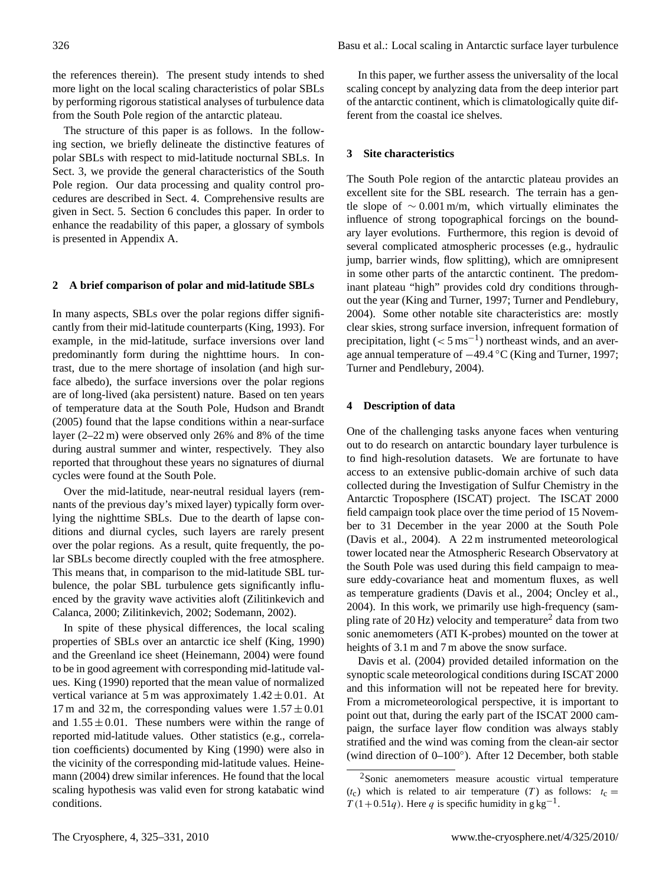the references therein). The present study intends to shed more light on the local scaling characteristics of polar SBLs by performing rigorous statistical analyses of turbulence data from the South Pole region of the antarctic plateau.

The structure of this paper is as follows. In the following section, we briefly delineate the distinctive features of polar SBLs with respect to mid-latitude nocturnal SBLs. In Sect. 3, we provide the general characteristics of the South Pole region. Our data processing and quality control procedures are described in Sect. 4. Comprehensive results are given in Sect. 5. Section 6 concludes this paper. In order to enhance the readability of this paper, a glossary of symbols is presented in Appendix A.

#### **2 A brief comparison of polar and mid-latitude SBLs**

In many aspects, SBLs over the polar regions differ significantly from their mid-latitude counterparts [\(King,](#page-6-11) [1993\)](#page-6-11). For example, in the mid-latitude, surface inversions over land predominantly form during the nighttime hours. In contrast, due to the mere shortage of insolation (and high surface albedo), the surface inversions over the polar regions are of long-lived (aka persistent) nature. Based on ten years of temperature data at the South Pole, [Hudson and Brandt](#page-6-12) [\(2005\)](#page-6-12) found that the lapse conditions within a near-surface layer (2–22 m) were observed only 26% and 8% of the time during austral summer and winter, respectively. They also reported that throughout these years no signatures of diurnal cycles were found at the South Pole.

Over the mid-latitude, near-neutral residual layers (remnants of the previous day's mixed layer) typically form overlying the nighttime SBLs. Due to the dearth of lapse conditions and diurnal cycles, such layers are rarely present over the polar regions. As a result, quite frequently, the polar SBLs become directly coupled with the free atmosphere. This means that, in comparison to the mid-latitude SBL turbulence, the polar SBL turbulence gets significantly influenced by the gravity wave activities aloft [\(Zilitinkevich and](#page-6-13) [Calanca,](#page-6-13) [2000;](#page-6-13) [Zilitinkevich,](#page-6-14) [2002;](#page-6-14) [Sodemann,](#page-6-15) [2002\)](#page-6-15).

In spite of these physical differences, the local scaling properties of SBLs over an antarctic ice shelf [\(King,](#page-6-16) [1990\)](#page-6-16) and the Greenland ice sheet [\(Heinemann,](#page-6-6) [2004\)](#page-6-6) were found to be in good agreement with corresponding mid-latitude values. [King](#page-6-16) [\(1990\)](#page-6-16) reported that the mean value of normalized vertical variance at 5 m was approximately  $1.42 \pm 0.01$ . At 17 m and 32 m, the corresponding values were  $1.57 \pm 0.01$ and  $1.55 \pm 0.01$ . These numbers were within the range of reported mid-latitude values. Other statistics (e.g., correlation coefficients) documented by [King](#page-6-16) [\(1990\)](#page-6-16) were also in the vicinity of the corresponding mid-latitude values. [Heine](#page-6-6)[mann](#page-6-6) [\(2004\)](#page-6-6) drew similar inferences. He found that the local scaling hypothesis was valid even for strong katabatic wind conditions.

In this paper, we further assess the universality of the local scaling concept by analyzing data from the deep interior part of the antarctic continent, which is climatologically quite different from the coastal ice shelves.

## **3 Site characteristics**

The South Pole region of the antarctic plateau provides an excellent site for the SBL research. The terrain has a gentle slope of  $\sim 0.001$  m/m, which virtually eliminates the influence of strong topographical forcings on the boundary layer evolutions. Furthermore, this region is devoid of several complicated atmospheric processes (e.g., hydraulic jump, barrier winds, flow splitting), which are omnipresent in some other parts of the antarctic continent. The predominant plateau "high" provides cold dry conditions throughout the year [\(King and Turner,](#page-6-17) [1997;](#page-6-17) [Turner and Pendlebury,](#page-6-18) [2004\)](#page-6-18). Some other notable site characteristics are: mostly clear skies, strong surface inversion, infrequent formation of precipitation, light  $(< 5 \text{ ms}^{-1})$  northeast winds, and an average annual temperature of −49.4 ◦C [\(King and Turner,](#page-6-17) [1997;](#page-6-17) [Turner and Pendlebury,](#page-6-18) [2004\)](#page-6-18).

#### **4 Description of data**

One of the challenging tasks anyone faces when venturing out to do research on antarctic boundary layer turbulence is to find high-resolution datasets. We are fortunate to have access to an extensive public-domain archive of such data collected during the Investigation of Sulfur Chemistry in the Antarctic Troposphere (ISCAT) project. The ISCAT 2000 field campaign took place over the time period of 15 November to 31 December in the year 2000 at the South Pole [\(Davis et al.,](#page-6-19) [2004\)](#page-6-19). A 22 m instrumented meteorological tower located near the Atmospheric Research Observatory at the South Pole was used during this field campaign to measure eddy-covariance heat and momentum fluxes, as well as temperature gradients [\(Davis et al.,](#page-6-19) [2004;](#page-6-19) [Oncley et al.,](#page-6-20) [2004\)](#page-6-20). In this work, we primarily use high-frequency (sampling rate of  $20$  $20$  Hz) velocity and temperature<sup>2</sup> data from two sonic anemometers (ATI K-probes) mounted on the tower at heights of 3.1 m and 7 m above the snow surface.

[Davis et al.](#page-6-19) [\(2004\)](#page-6-19) provided detailed information on the synoptic scale meteorological conditions during ISCAT 2000 and this information will not be repeated here for brevity. From a micrometeorological perspective, it is important to point out that, during the early part of the ISCAT 2000 campaign, the surface layer flow condition was always stably stratified and the wind was coming from the clean-air sector (wind direction of 0–100◦ ). After 12 December, both stable

<span id="page-1-0"></span><sup>2</sup>Sonic anemometers measure acoustic virtual temperature  $(t_c)$  which is related to air temperature (T) as follows:  $t_c =$  $T(1+0.51q)$ . Here q is specific humidity in g kg<sup>-1</sup>.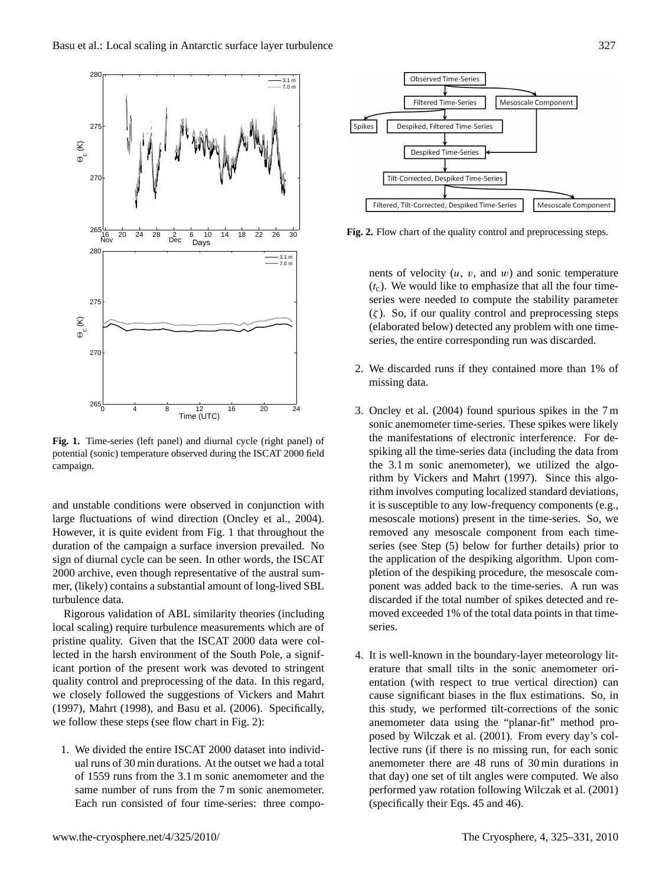

<span id="page-2-0"></span>**Fig. 1.** Time-series (left panel) and diurnal cycle (right panel) of potential (sonic) temperature observed during the ISCAT 2000 field campaign.

and unstable conditions were observed in conjunction with large fluctuations of wind direction [\(Oncley et al.,](#page-6-20) [2004\)](#page-6-20). However, it is quite evident from Fig. [1](#page-2-0) that throughout the duration of the campaign a surface inversion prevailed. No sign of diurnal cycle can be seen. In other words, the ISCAT 2000 archive, even though representative of the austral summer, (likely) contains a substantial amount of long-lived SBL turbulence data.

Rigorous validation of ABL similarity theories (including local scaling) require turbulence measurements which are of pristine quality. Given that the ISCAT 2000 data were collected in the harsh environment of the South Pole, a significant portion of the present work was devoted to stringent quality control and preprocessing of the data. In this regard, we closely followed the suggestions of [Vickers and Mahrt](#page-6-21) [\(1997\)](#page-6-21), [Mahrt](#page-6-22) [\(1998\)](#page-6-22), and [Basu et al.](#page-5-2) [\(2006\)](#page-5-2). Specifically, we follow these steps (see flow chart in Fig. [2\)](#page-2-1):

1. We divided the entire ISCAT 2000 dataset into individual runs of 30 min durations. At the outset we had a total of 1559 runs from the 3.1 m sonic anemometer and the same number of runs from the 7 m sonic anemometer. Each run consisted of four time-series: three compo-



<span id="page-2-1"></span>**Fig. 2.** Flow chart of the quality control and preprocessing steps.

nents of velocity  $(u, v, \text{ and } w)$  and sonic temperature  $(t_c)$ . We would like to emphasize that all the four timeseries were needed to compute the stability parameter  $(\zeta)$ . So, if our quality control and preprocessing steps (elaborated below) detected any problem with one timeseries, the entire corresponding run was discarded.

- 2. We discarded runs if they contained more than 1% of missing data.
- 3. [Oncley et al.](#page-6-20) [\(2004\)](#page-6-20) found spurious spikes in the 7 m sonic anemometer time-series. These spikes were likely the manifestations of electronic interference. For despiking all the time-series data (including the data from the 3.1 m sonic anemometer), we utilized the algorithm by [Vickers and Mahrt](#page-6-21) [\(1997\)](#page-6-21). Since this algorithm involves computing localized standard deviations, it is susceptible to any low-frequency components (e.g., mesoscale motions) present in the time-series. So, we removed any mesoscale component from each timeseries (see Step (5) below for further details) prior to the application of the despiking algorithm. Upon completion of the despiking procedure, the mesoscale component was added back to the time-series. A run was discarded if the total number of spikes detected and removed exceeded 1% of the total data points in that timeseries.
- 4. It is well-known in the boundary-layer meteorology literature that small tilts in the sonic anemometer orientation (with respect to true vertical direction) can cause significant biases in the flux estimations. So, in this study, we performed tilt-corrections of the sonic anemometer data using the "planar-fit" method proposed by [Wilczak et al.](#page-6-23) [\(2001\)](#page-6-23). From every day's collective runs (if there is no missing run, for each sonic anemometer there are 48 runs of 30 min durations in that day) one set of tilt angles were computed. We also performed yaw rotation following [Wilczak et al.](#page-6-23) [\(2001\)](#page-6-23) (specifically their Eqs. 45 and 46).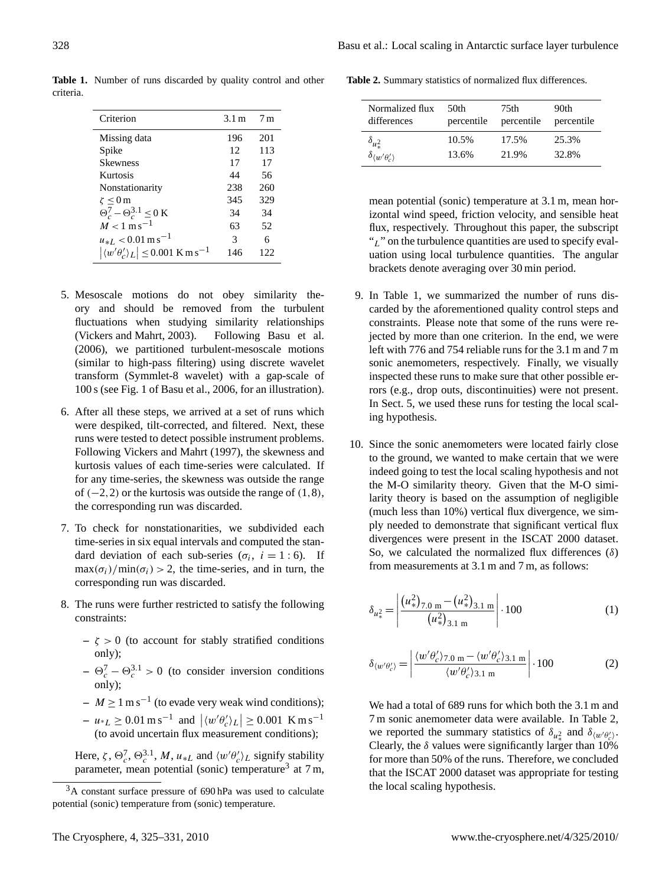<span id="page-3-1"></span>Criterion 3.1 m 7 m Missing data 196 201 Spike 12 113<br>Skewness 17 17 Skewness 17 17<br>Kurtosis 14 56 Kurtosis 44 Nonstationarity 238 260  $\zeta \le 0 \,\text{m}$  345 329  $\Theta_c^7 - \Theta_c^{3.1} \le 0 \text{ K}$  34 34  $M < 1 \text{ m s}^{-1}$  63 52  $u_{*L} < 0.01 \text{ m s}^{-1}$  3 6<br>  $| \langle w' \theta'_{2} \rangle_{I} | < 0.001 \text{ K m s}^{-1}$  146 12  $|\langle w'\theta'_{c}\rangle_{L}| \leq 0.001 \text{ K m s}^{-1}$  146 122

**Table 1.** Number of runs discarded by quality control and other criteria.

- 5. Mesoscale motions do not obey similarity theory and should be removed from the turbulent fluctuations when studying similarity relationships [\(Vickers and Mahrt,](#page-6-24) [2003\)](#page-6-24). Following [Basu et al.](#page-5-2) [\(2006\)](#page-5-2), we partitioned turbulent-mesoscale motions (similar to high-pass filtering) using discrete wavelet transform (Symmlet-8 wavelet) with a gap-scale of 100 s (see Fig. 1 of [Basu et al.,](#page-5-2) [2006,](#page-5-2) for an illustration).
- 6. After all these steps, we arrived at a set of runs which were despiked, tilt-corrected, and filtered. Next, these runs were tested to detect possible instrument problems. Following [Vickers and Mahrt](#page-6-21) [\(1997\)](#page-6-21), the skewness and kurtosis values of each time-series were calculated. If for any time-series, the skewness was outside the range of  $(-2,2)$  or the kurtosis was outside the range of  $(1,8)$ , the corresponding run was discarded.
- 7. To check for nonstationarities, we subdivided each time-series in six equal intervals and computed the standard deviation of each sub-series ( $\sigma_i$ ,  $i = 1:6$ ). If  $\max(\sigma_i)/\min(\sigma_i) > 2$ , the time-series, and in turn, the corresponding run was discarded.
- 8. The runs were further restricted to satisfy the following constraints:
	- $-\zeta > 0$  (to account for stably stratified conditions only);
	- $-\Theta_c^7 \Theta_c^{3.1} > 0$  (to consider inversion conditions only);
	- $M \ge 1 \text{ m s}^{-1}$  (to evade very weak wind conditions);
	- $u \cdot L \ge 0.01 \text{ m s}^{-1} \text{ and } | \langle w' \theta'_c \rangle_L | \ge 0.001 \text{ K m s}^{-1}$ (to avoid uncertain flux measurement conditions);

Here,  $\zeta$ ,  $\Theta_c^7$ ,  $\Theta_c^3$ ,  $M$ ,  $u_{*L}$  and  $\langle w' \theta_c' \rangle_L$  signify stability parameter, mean potential (sonic) temperature<sup>[3](#page-3-0)</sup> at 7 m,

**Table 2.** Summary statistics of normalized flux differences.

<span id="page-3-2"></span>

| Normalized flux                       | 50th       | 75th       | 90th       |  |
|---------------------------------------|------------|------------|------------|--|
| differences                           | percentile | percentile | percentile |  |
| $\delta_{u^2_*}$                      | 10.5%      | 17.5%      | 25.3%      |  |
| $\delta_{\langle w'\theta'_a\rangle}$ | 13.6%      | 21.9%      | 32.8%      |  |

mean potential (sonic) temperature at 3.1 m, mean horizontal wind speed, friction velocity, and sensible heat flux, respectively. Throughout this paper, the subscript  $\mu$ " on the turbulence quantities are used to specify evaluation using local turbulence quantities. The angular brackets denote averaging over 30 min period.

- 9. In Table [1,](#page-3-1) we summarized the number of runs discarded by the aforementioned quality control steps and constraints. Please note that some of the runs were rejected by more than one criterion. In the end, we were left with 776 and 754 reliable runs for the 3.1 m and 7 m sonic anemometers, respectively. Finally, we visually inspected these runs to make sure that other possible errors (e.g., drop outs, discontinuities) were not present. In Sect. 5, we used these runs for testing the local scaling hypothesis.
- 10. Since the sonic anemometers were located fairly close to the ground, we wanted to make certain that we were indeed going to test the local scaling hypothesis and not the M-O similarity theory. Given that the M-O similarity theory is based on the assumption of negligible (much less than 10%) vertical flux divergence, we simply needed to demonstrate that significant vertical flux divergences were present in the ISCAT 2000 dataset. So, we calculated the normalized flux differences  $(\delta)$ from measurements at 3.1 m and 7 m, as follows:

$$
\delta_{u_{*}^{2}} = \left| \frac{(u_{*}^{2})_{7.0 \text{ m}} - (u_{*}^{2})_{3.1 \text{ m}}}{(u_{*}^{2})_{3.1 \text{ m}}} \right| \cdot 100 \tag{1}
$$

$$
\delta_{\langle w'\theta'_{c}\rangle} = \left| \frac{\langle w'\theta'_{c}\rangle_{7.0 \text{ m}} - \langle w'\theta'_{c}\rangle_{3.1 \text{ m}}}{\langle w'\theta'_{c}\rangle_{3.1 \text{ m}}} \right| \cdot 100 \tag{2}
$$

We had a total of 689 runs for which both the 3.1 m and 7 m sonic anemometer data were available. In Table [2,](#page-3-2) we reported the summary statistics of  $\delta_{u^2_*}$  and  $\delta_{\langle w' \theta'_{c} \rangle}$ . Clearly, the  $\delta$  values were significantly larger than 10% for more than 50% of the runs. Therefore, we concluded that the ISCAT 2000 dataset was appropriate for testing the local scaling hypothesis.

<span id="page-3-0"></span><sup>&</sup>lt;sup>3</sup>A constant surface pressure of 690 hPa was used to calculate potential (sonic) temperature from (sonic) temperature.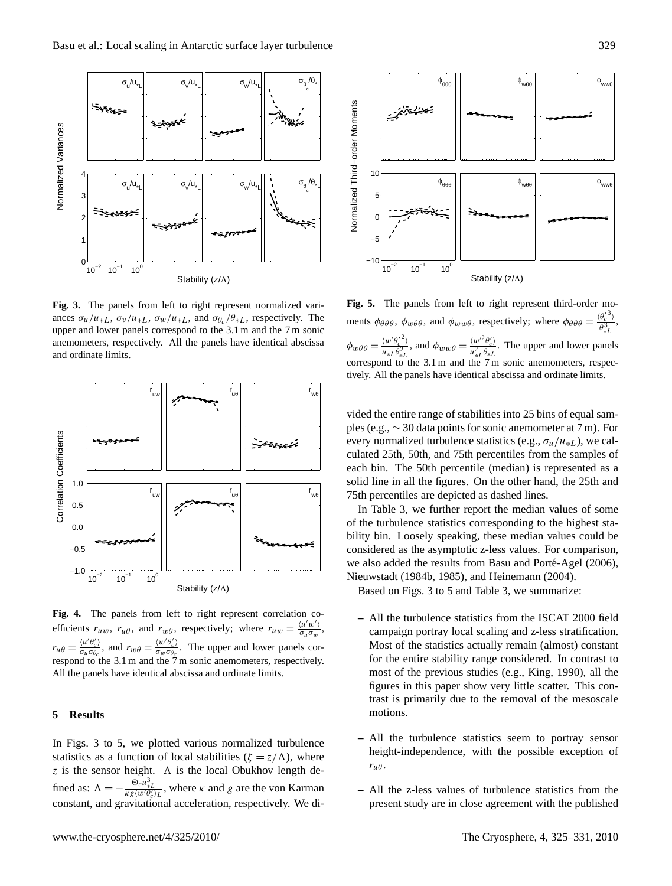

**Fig. 3.** The panels from left to right represent normalized variances  $\sigma_u/u_{*L}$ ,  $\sigma_v/u_{*L}$ ,  $\sigma_w/u_{*L}$ , and  $\sigma_{\theta_c}/\theta_{*L}$ , respectively. The upper and lower panels correspond to the 3.1 m and the 7 m sonic anemometers, respectively. All the panels have identical abscissa and ordinate limits.



**Fig. 4.** The panels from left to right represent correlation coefficients  $r_{uw}$ ,  $r_{u\theta}$ , and  $r_{w\theta}$ , respectively; where  $r_{uw} = \frac{\langle u'w' \rangle}{\sigma_u \sigma_w}$  $\frac{\sqrt{u} w}{\sigma_u \sigma_w}$ ,  $r_{u\theta} = \frac{\langle u' \theta'_{c} \rangle}{\sigma_{u}\sigma_{\theta_{c}}}$  $\frac{\langle u'\theta'_{c}\rangle}{\sigma_{u}\sigma_{\theta_{c}}},$  and  $r_{w\theta} = \frac{\langle w'\theta'_{c}\rangle}{\sigma_{w}\sigma_{\theta_{c}}}$  $\frac{\partial w}{\partial w \partial \theta_c}$ . The upper and lower panels correspond to the 3.1 m and the 7 m sonic anemometers, respectively. All the panels have identical abscissa and ordinate limits.

## **5 Results**

In Figs. 3 to 5, we plotted various normalized turbulence statistics as a function of local stabilities ( $\zeta = z/\Lambda$ ), where z is the sensor height.  $\Lambda$  is the local Obukhov length defined as:  $\Lambda = -\frac{\Theta_c u_{sL}^3}{\kappa g \langle w' \theta_c' \rangle_L}$ , where  $\kappa$  and g are the von Karman constant, and gravitational acceleration, respectively. We di-



**Fig. 5.** The panels from left to right represent third-order moments  $\phi_{\theta\theta\theta}$ ,  $\phi_{w\theta\theta}$ , and  $\phi_{ww\theta}$ , respectively; where  $\phi_{\theta\theta\theta} = \frac{\langle \theta_c^{(3)} \rangle}{\beta^3}$  $\frac{\theta_c - \mu}{\theta_{*L}^3},$  $\phi_{w\theta\theta} = \frac{\langle w' \theta_c'^2 \rangle}{u \cdot \theta^2}$  $rac{\langle w' \theta_c^2 \rangle}{\langle u_{*L} \theta_{*L}^2}$ , and  $\phi_{ww\theta} = \frac{\langle w'^2 \theta_c' \rangle}{u_{*L}^2 \theta_{*L}^2}$  $\frac{\sqrt{\omega} \nu_{c}}{u_{*L}^2 \theta_{*L}}$ . The upper and lower panels correspond to the  $3.1 \text{ m}$  and the  $7 \text{ m}$  sonic anemometers, respectively. All the panels have identical abscissa and ordinate limits.

vided the entire range of stabilities into 25 bins of equal samples (e.g., ∼ 30 data points for sonic anemometer at 7 m). For every normalized turbulence statistics (e.g.,  $\sigma_u/u_{*L}$ ), we calculated 25th, 50th, and 75th percentiles from the samples of each bin. The 50th percentile (median) is represented as a solid line in all the figures. On the other hand, the 25th and 75th percentiles are depicted as dashed lines.

In Table [3,](#page-5-3) we further report the median values of some of the turbulence statistics corresponding to the highest stability bin. Loosely speaking, these median values could be considered as the asymptotic z-less values. For comparison, we also added the results from Basu and Porté-Agel [\(2006\)](#page-5-1), [Nieuwstadt](#page-6-1) [\(1984b,](#page-6-1) [1985\)](#page-6-2), and [Heinemann](#page-6-6) [\(2004\)](#page-6-6).

Based on Figs. 3 to 5 and Table [3,](#page-5-3) we summarize:

- **–** All the turbulence statistics from the ISCAT 2000 field campaign portray local scaling and z-less stratification. Most of the statistics actually remain (almost) constant for the entire stability range considered. In contrast to most of the previous studies (e.g., [King,](#page-6-16) [1990\)](#page-6-16), all the figures in this paper show very little scatter. This contrast is primarily due to the removal of the mesoscale motions.
- **–** All the turbulence statistics seem to portray sensor height-independence, with the possible exception of  $r_{\mu\theta}$ .
- **–** All the z-less values of turbulence statistics from the present study are in close agreement with the published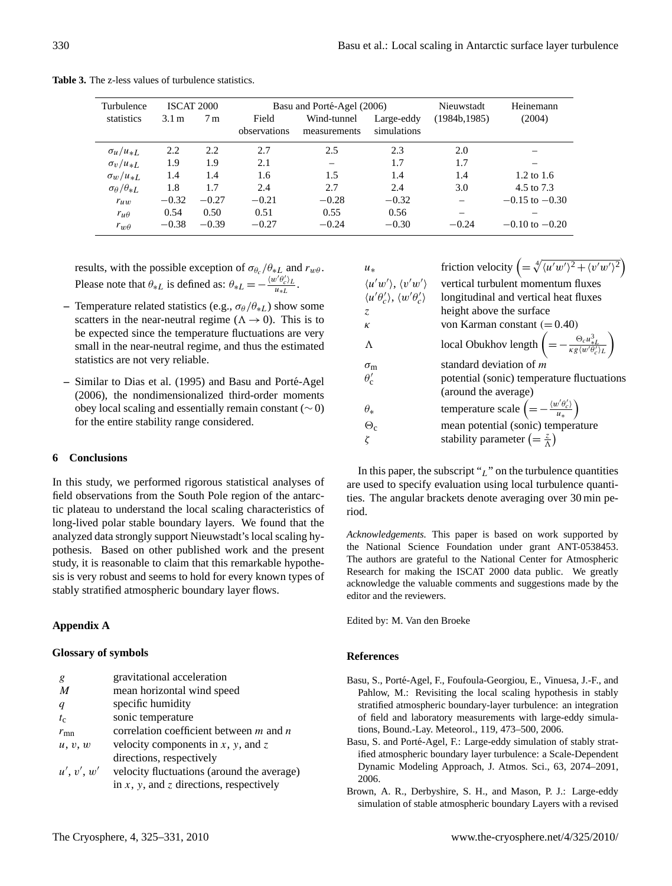<span id="page-5-3"></span>

| Turbulence                    |                  | ISCAT 2000     | Basu and Porté-Agel (2006) |              | Nieuwstadt  | Heinemann     |                       |
|-------------------------------|------------------|----------------|----------------------------|--------------|-------------|---------------|-----------------------|
| statistics                    | 3.1 <sub>m</sub> | 7 <sub>m</sub> | Field                      | Wind-tunnel  | Large-eddy  | (1984b, 1985) | (2004)                |
|                               |                  |                | observations               | measurements | simulations |               |                       |
| $\sigma_{\mu}/u_{*L}$         | 2.2              | 2.2            | 2.7                        | 2.5          | 2.3         | 2.0           |                       |
| $\sigma_v/u_{*L}$             | 1.9              | 1.9            | 2.1                        |              | 1.7         | 1.7           |                       |
| $\sigma_w/u_{*L}$             | 1.4              | 1.4            | 1.6                        | 1.5          | 1.4         | 1.4           | $1.2 \text{ to } 1.6$ |
| $\sigma_{\theta}/\theta_{*L}$ | 1.8              | 1.7            | 2.4                        | 2.7          | 2.4         | 3.0           | 4.5 to 7.3            |
| $r_{uw}$                      | $-0.32$          | $-0.27$        | $-0.21$                    | $-0.28$      | $-0.32$     |               | $-0.15$ to $-0.30$    |
| $r_{\mu\theta}$               | 0.54             | 0.50           | 0.51                       | 0.55         | 0.56        |               |                       |
| $r_{w\theta}$                 | $-0.38$          | $-0.39$        | $-0.27$                    | $-0.24$      | $-0.30$     | $-0.24$       | $-0.10$ to $-0.20$    |

**Table 3.** The z-less values of turbulence statistics.

results, with the possible exception of  $\sigma_{\theta_c}/\theta_{*L}$  and  $r_{w\theta}$ . Please note that  $\theta_{*L}$  is defined as:  $\theta_{*L} = -\frac{\langle w' \theta'_{c} \rangle_L}{u_{*L}}$  $\frac{U_{c/L}}{u_{*L}}$ .

- **–** Temperature related statistics (e.g.,  $\sigma_{\theta}/\theta_{*L}$ ) show some scatters in the near-neutral regime ( $\Lambda \rightarrow 0$ ). This is to be expected since the temperature fluctuations are very small in the near-neutral regime, and thus the estimated statistics are not very reliable.
- **–** Similar to [Dias et al.](#page-6-25) [\(1995\)](#page-6-25) and [Basu and Porte-Agel](#page-5-1) ´ [\(2006\)](#page-5-1), the nondimensionalized third-order moments obey local scaling and essentially remain constant (∼ 0) for the entire stability range considered.

## **6 Conclusions**

In this study, we performed rigorous statistical analyses of field observations from the South Pole region of the antarctic plateau to understand the local scaling characteristics of long-lived polar stable boundary layers. We found that the analyzed data strongly support Nieuwstadt's local scaling hypothesis. Based on other published work and the present study, it is reasonable to claim that this remarkable hypothesis is very robust and seems to hold for every known types of stably stratified atmospheric boundary layer flows.

## **Appendix A**

## **Glossary of symbols**

| g                | gravitational acceleration                      |
|------------------|-------------------------------------------------|
| $\boldsymbol{M}$ | mean horizontal wind speed                      |
| q                | specific humidity                               |
| $t_{\rm c}$      | sonic temperature                               |
| $r_{\rm mn}$     | correlation coefficient between $m$ and $n$     |
| u, v, w          | velocity components in $x$ , $y$ , and $z$      |
|                  | directions, respectively                        |
| u', v', w'       | velocity fluctuations (around the average)      |
|                  | in $x$ , $y$ , and $z$ directions, respectively |

| $u_*$                                                                                                            | friction velocity $\left( = \sqrt[4]{\langle u'w'\rangle^2 + \langle v'w'\rangle^2} \right)$            |
|------------------------------------------------------------------------------------------------------------------|---------------------------------------------------------------------------------------------------------|
|                                                                                                                  | vertical turbulent momentum fluxes                                                                      |
| $\langle u'w' \rangle, \langle v'w' \rangle$<br>$\langle u' \theta'_{c} \rangle, \langle w' \theta'_{c} \rangle$ | longitudinal and vertical heat fluxes                                                                   |
| Z.                                                                                                               | height above the surface                                                                                |
| $\kappa$                                                                                                         | von Karman constant $(=0.40)$                                                                           |
| $\Lambda$                                                                                                        | local Obukhov length $\left(=-\frac{\Theta_c u_{*L}^3}{\kappa g \langle w' \theta_c' \rangle_L}\right)$ |
| $\sigma_{\rm m}$                                                                                                 | standard deviation of m                                                                                 |
| $\theta_{c}'$                                                                                                    | potential (sonic) temperature fluctuations                                                              |
|                                                                                                                  | (around the average)                                                                                    |
| $\theta_*$                                                                                                       | temperature scale $\left(=-\frac{\langle w'\theta'_c\rangle}{u_*}\right)$                               |
| $\Theta_{c}$                                                                                                     | mean potential (sonic) temperature                                                                      |
|                                                                                                                  | stability parameter $\left(=\frac{z}{\Delta}\right)$                                                    |

In this paper, the subscript " $_L$ " on the turbulence quantities are used to specify evaluation using local turbulence quantities. The angular brackets denote averaging over 30 min period.

*Acknowledgements.* This paper is based on work supported by the National Science Foundation under grant ANT-0538453. The authors are grateful to the National Center for Atmospheric Research for making the ISCAT 2000 data public. We greatly acknowledge the valuable comments and suggestions made by the editor and the reviewers.

Edited by: M. Van den Broeke

## **References**

- <span id="page-5-2"></span>Basu, S., Porte-Agel, F., Foufoula-Georgiou, E., Vinuesa, J.-F., and ´ Pahlow, M.: Revisiting the local scaling hypothesis in stably stratified atmospheric boundary-layer turbulence: an integration of field and laboratory measurements with large-eddy simulations, Bound.-Lay. Meteorol., 119, 473–500, 2006.
- <span id="page-5-1"></span>Basu, S. and Porté-Agel, F.: Large-eddy simulation of stably stratified atmospheric boundary layer turbulence: a Scale-Dependent Dynamic Modeling Approach, J. Atmos. Sci., 63, 2074–2091, 2006.
- <span id="page-5-0"></span>Brown, A. R., Derbyshire, S. H., and Mason, P. J.: Large-eddy simulation of stable atmospheric boundary Layers with a revised